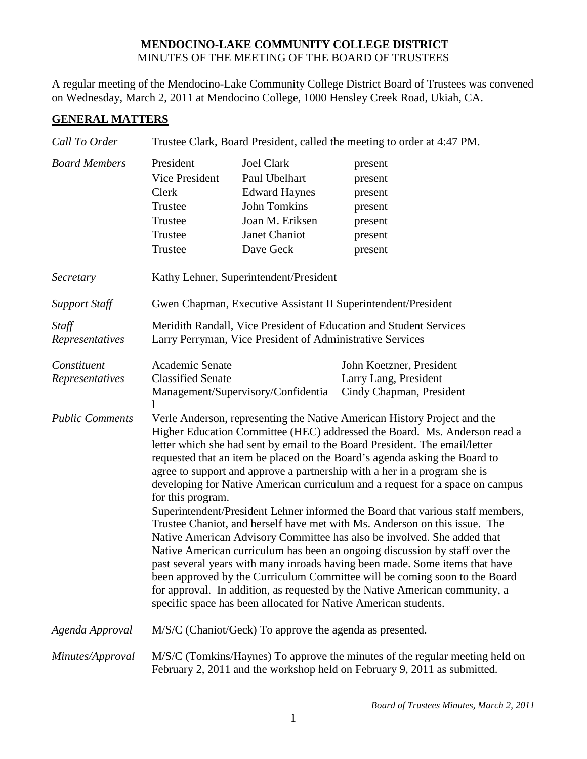## **MENDOCINO-LAKE COMMUNITY COLLEGE DISTRICT** MINUTES OF THE MEETING OF THE BOARD OF TRUSTEES

A regular meeting of the Mendocino-Lake Community College District Board of Trustees was convened on Wednesday, March 2, 2011 at Mendocino College, 1000 Hensley Creek Road, Ukiah, CA.

## **GENERAL MATTERS**

| Call To Order                  | Trustee Clark, Board President, called the meeting to order at 4:47 PM.                                                                                                                                                                                                                                                                                                                                                                                                                                                                                                                                                                                                                                                                                                                                                                                                                                                                                                                                                                                                                                                                        |                                                                                                                                    |                                                                               |  |  |
|--------------------------------|------------------------------------------------------------------------------------------------------------------------------------------------------------------------------------------------------------------------------------------------------------------------------------------------------------------------------------------------------------------------------------------------------------------------------------------------------------------------------------------------------------------------------------------------------------------------------------------------------------------------------------------------------------------------------------------------------------------------------------------------------------------------------------------------------------------------------------------------------------------------------------------------------------------------------------------------------------------------------------------------------------------------------------------------------------------------------------------------------------------------------------------------|------------------------------------------------------------------------------------------------------------------------------------|-------------------------------------------------------------------------------|--|--|
| <b>Board Members</b>           | President<br>Vice President<br>Clerk<br>Trustee<br>Trustee<br>Trustee<br>Trustee                                                                                                                                                                                                                                                                                                                                                                                                                                                                                                                                                                                                                                                                                                                                                                                                                                                                                                                                                                                                                                                               | <b>Joel Clark</b><br>Paul Ubelhart<br><b>Edward Haynes</b><br><b>John Tomkins</b><br>Joan M. Eriksen<br>Janet Chaniot<br>Dave Geck | present<br>present<br>present<br>present<br>present<br>present<br>present     |  |  |
| Secretary                      |                                                                                                                                                                                                                                                                                                                                                                                                                                                                                                                                                                                                                                                                                                                                                                                                                                                                                                                                                                                                                                                                                                                                                | Kathy Lehner, Superintendent/President                                                                                             |                                                                               |  |  |
| <b>Support Staff</b>           | Gwen Chapman, Executive Assistant II Superintendent/President                                                                                                                                                                                                                                                                                                                                                                                                                                                                                                                                                                                                                                                                                                                                                                                                                                                                                                                                                                                                                                                                                  |                                                                                                                                    |                                                                               |  |  |
| Staff<br>Representatives       | Meridith Randall, Vice President of Education and Student Services<br>Larry Perryman, Vice President of Administrative Services                                                                                                                                                                                                                                                                                                                                                                                                                                                                                                                                                                                                                                                                                                                                                                                                                                                                                                                                                                                                                |                                                                                                                                    |                                                                               |  |  |
| Constituent<br>Representatives | Academic Senate<br><b>Classified Senate</b>                                                                                                                                                                                                                                                                                                                                                                                                                                                                                                                                                                                                                                                                                                                                                                                                                                                                                                                                                                                                                                                                                                    | Management/Supervisory/Confidentia                                                                                                 | John Koetzner, President<br>Larry Lang, President<br>Cindy Chapman, President |  |  |
| <b>Public Comments</b>         | Verle Anderson, representing the Native American History Project and the<br>Higher Education Committee (HEC) addressed the Board. Ms. Anderson read a<br>letter which she had sent by email to the Board President. The email/letter<br>requested that an item be placed on the Board's agenda asking the Board to<br>agree to support and approve a partnership with a her in a program she is<br>developing for Native American curriculum and a request for a space on campus<br>for this program.<br>Superintendent/President Lehner informed the Board that various staff members,<br>Trustee Chaniot, and herself have met with Ms. Anderson on this issue. The<br>Native American Advisory Committee has also be involved. She added that<br>Native American curriculum has been an ongoing discussion by staff over the<br>past several years with many inroads having been made. Some items that have<br>been approved by the Curriculum Committee will be coming soon to the Board<br>for approval. In addition, as requested by the Native American community, a<br>specific space has been allocated for Native American students. |                                                                                                                                    |                                                                               |  |  |
| Agenda Approval                | M/S/C (Chaniot/Geck) To approve the agenda as presented.                                                                                                                                                                                                                                                                                                                                                                                                                                                                                                                                                                                                                                                                                                                                                                                                                                                                                                                                                                                                                                                                                       |                                                                                                                                    |                                                                               |  |  |
| Minutes/Approval               | M/S/C (Tomkins/Haynes) To approve the minutes of the regular meeting held on<br>February 2, 2011 and the workshop held on February 9, 2011 as submitted.                                                                                                                                                                                                                                                                                                                                                                                                                                                                                                                                                                                                                                                                                                                                                                                                                                                                                                                                                                                       |                                                                                                                                    |                                                                               |  |  |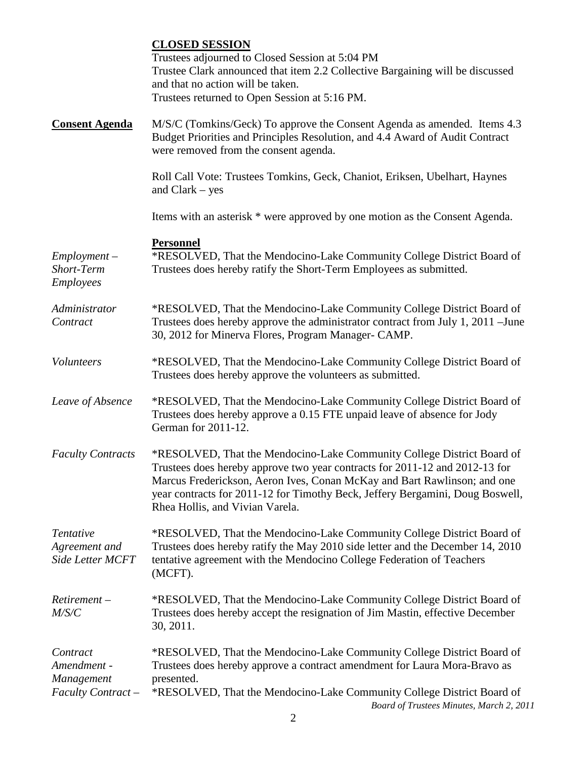|                                                  | <b>CLOSED SESSION</b><br>Trustees adjourned to Closed Session at 5:04 PM<br>Trustee Clark announced that item 2.2 Collective Bargaining will be discussed<br>and that no action will be taken.<br>Trustees returned to Open Session at 5:16 PM.                                                                                                       |
|--------------------------------------------------|-------------------------------------------------------------------------------------------------------------------------------------------------------------------------------------------------------------------------------------------------------------------------------------------------------------------------------------------------------|
| <b>Consent Agenda</b>                            | M/S/C (Tomkins/Geck) To approve the Consent Agenda as amended. Items 4.3<br>Budget Priorities and Principles Resolution, and 4.4 Award of Audit Contract<br>were removed from the consent agenda.                                                                                                                                                     |
|                                                  | Roll Call Vote: Trustees Tomkins, Geck, Chaniot, Eriksen, Ubelhart, Haynes<br>and $Clark - yes$                                                                                                                                                                                                                                                       |
|                                                  | Items with an asterisk * were approved by one motion as the Consent Agenda.                                                                                                                                                                                                                                                                           |
| $Employment -$<br>Short-Term<br><b>Employees</b> | <b>Personnel</b><br>*RESOLVED, That the Mendocino-Lake Community College District Board of<br>Trustees does hereby ratify the Short-Term Employees as submitted.                                                                                                                                                                                      |
| Administrator<br>Contract                        | *RESOLVED, That the Mendocino-Lake Community College District Board of<br>Trustees does hereby approve the administrator contract from July 1, 2011 – June<br>30, 2012 for Minerva Flores, Program Manager- CAMP.                                                                                                                                     |
| Volunteers                                       | *RESOLVED, That the Mendocino-Lake Community College District Board of<br>Trustees does hereby approve the volunteers as submitted.                                                                                                                                                                                                                   |
| Leave of Absence                                 | *RESOLVED, That the Mendocino-Lake Community College District Board of<br>Trustees does hereby approve a 0.15 FTE unpaid leave of absence for Jody<br>German for 2011-12.                                                                                                                                                                             |
| <b>Faculty Contracts</b>                         | *RESOLVED, That the Mendocino-Lake Community College District Board of<br>Trustees does hereby approve two year contracts for 2011-12 and 2012-13 for<br>Marcus Frederickson, Aeron Ives, Conan McKay and Bart Rawlinson; and one<br>year contracts for 2011-12 for Timothy Beck, Jeffery Bergamini, Doug Boswell,<br>Rhea Hollis, and Vivian Varela. |
| Tentative<br>Agreement and<br>Side Letter MCFT   | *RESOLVED, That the Mendocino-Lake Community College District Board of<br>Trustees does hereby ratify the May 2010 side letter and the December 14, 2010<br>tentative agreement with the Mendocino College Federation of Teachers<br>(MCFT).                                                                                                          |
| $Retirement -$<br>M/S/C                          | *RESOLVED, That the Mendocino-Lake Community College District Board of<br>Trustees does hereby accept the resignation of Jim Mastin, effective December<br>30, 2011.                                                                                                                                                                                  |
| Contract<br>Amendment -<br>Management            | *RESOLVED, That the Mendocino-Lake Community College District Board of<br>Trustees does hereby approve a contract amendment for Laura Mora-Bravo as<br>presented.                                                                                                                                                                                     |
| Faculty Contract-                                | *RESOLVED, That the Mendocino-Lake Community College District Board of<br>Board of Trustees Minutes, March 2, 2011                                                                                                                                                                                                                                    |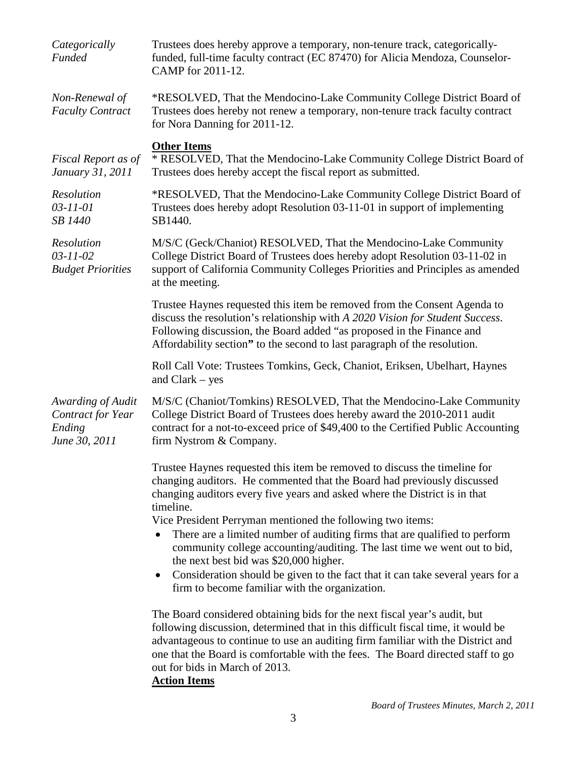| Categorically<br><b>Funded</b>                                    | Trustees does hereby approve a temporary, non-tenure track, categorically-<br>funded, full-time faculty contract (EC 87470) for Alicia Mendoza, Counselor-<br>CAMP for 2011-12.                                                                                                                                                                                                                                                                                                                                                                                                                                                                                    |
|-------------------------------------------------------------------|--------------------------------------------------------------------------------------------------------------------------------------------------------------------------------------------------------------------------------------------------------------------------------------------------------------------------------------------------------------------------------------------------------------------------------------------------------------------------------------------------------------------------------------------------------------------------------------------------------------------------------------------------------------------|
| Non-Renewal of<br><b>Faculty Contract</b>                         | *RESOLVED, That the Mendocino-Lake Community College District Board of<br>Trustees does hereby not renew a temporary, non-tenure track faculty contract<br>for Nora Danning for 2011-12.                                                                                                                                                                                                                                                                                                                                                                                                                                                                           |
| Fiscal Report as of<br>January 31, 2011                           | <b>Other Items</b><br>* RESOLVED, That the Mendocino-Lake Community College District Board of<br>Trustees does hereby accept the fiscal report as submitted.                                                                                                                                                                                                                                                                                                                                                                                                                                                                                                       |
| Resolution<br>$03 - 11 - 01$<br>SB 1440                           | *RESOLVED, That the Mendocino-Lake Community College District Board of<br>Trustees does hereby adopt Resolution 03-11-01 in support of implementing<br>SB1440.                                                                                                                                                                                                                                                                                                                                                                                                                                                                                                     |
| Resolution<br>$03 - 11 - 02$<br><b>Budget Priorities</b>          | M/S/C (Geck/Chaniot) RESOLVED, That the Mendocino-Lake Community<br>College District Board of Trustees does hereby adopt Resolution 03-11-02 in<br>support of California Community Colleges Priorities and Principles as amended<br>at the meeting.                                                                                                                                                                                                                                                                                                                                                                                                                |
|                                                                   | Trustee Haynes requested this item be removed from the Consent Agenda to<br>discuss the resolution's relationship with A 2020 Vision for Student Success.<br>Following discussion, the Board added "as proposed in the Finance and<br>Affordability section" to the second to last paragraph of the resolution.                                                                                                                                                                                                                                                                                                                                                    |
|                                                                   | Roll Call Vote: Trustees Tomkins, Geck, Chaniot, Eriksen, Ubelhart, Haynes<br>and $Clark - yes$                                                                                                                                                                                                                                                                                                                                                                                                                                                                                                                                                                    |
| Awarding of Audit<br>Contract for Year<br>Ending<br>June 30, 2011 | M/S/C (Chaniot/Tomkins) RESOLVED, That the Mendocino-Lake Community<br>College District Board of Trustees does hereby award the 2010-2011 audit<br>contract for a not-to-exceed price of \$49,400 to the Certified Public Accounting<br>firm Nystrom & Company.                                                                                                                                                                                                                                                                                                                                                                                                    |
|                                                                   | Trustee Haynes requested this item be removed to discuss the timeline for<br>changing auditors. He commented that the Board had previously discussed<br>changing auditors every five years and asked where the District is in that<br>timeline.<br>Vice President Perryman mentioned the following two items:<br>There are a limited number of auditing firms that are qualified to perform<br>community college accounting/auditing. The last time we went out to bid,<br>the next best bid was \$20,000 higher.<br>Consideration should be given to the fact that it can take several years for a<br>$\bullet$<br>firm to become familiar with the organization. |
|                                                                   | The Board considered obtaining bids for the next fiscal year's audit, but<br>following discussion, determined that in this difficult fiscal time, it would be<br>advantageous to continue to use an auditing firm familiar with the District and<br>one that the Board is comfortable with the fees. The Board directed staff to go<br>out for bids in March of 2013.<br><b>Action Items</b>                                                                                                                                                                                                                                                                       |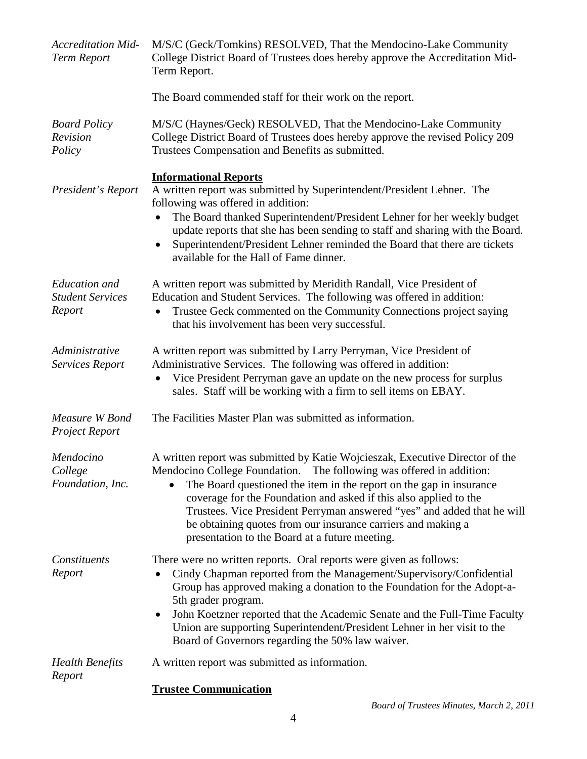| <b>Accreditation Mid-</b><br><b>Term Report</b>           | M/S/C (Geck/Tomkins) RESOLVED, That the Mendocino-Lake Community<br>College District Board of Trustees does hereby approve the Accreditation Mid-<br>Term Report.                                                                                                                                                                                                                                                                                                                              |
|-----------------------------------------------------------|------------------------------------------------------------------------------------------------------------------------------------------------------------------------------------------------------------------------------------------------------------------------------------------------------------------------------------------------------------------------------------------------------------------------------------------------------------------------------------------------|
|                                                           | The Board commended staff for their work on the report.                                                                                                                                                                                                                                                                                                                                                                                                                                        |
| <b>Board Policy</b><br>Revision<br>Policy                 | M/S/C (Haynes/Geck) RESOLVED, That the Mendocino-Lake Community<br>College District Board of Trustees does hereby approve the revised Policy 209<br>Trustees Compensation and Benefits as submitted.                                                                                                                                                                                                                                                                                           |
| President's Report                                        | <b>Informational Reports</b><br>A written report was submitted by Superintendent/President Lehner. The<br>following was offered in addition:<br>The Board thanked Superintendent/President Lehner for her weekly budget<br>update reports that she has been sending to staff and sharing with the Board.<br>Superintendent/President Lehner reminded the Board that there are tickets<br>available for the Hall of Fame dinner.                                                                |
| <b>Education</b> and<br><b>Student Services</b><br>Report | A written report was submitted by Meridith Randall, Vice President of<br>Education and Student Services. The following was offered in addition:<br>Trustee Geck commented on the Community Connections project saying<br>that his involvement has been very successful.                                                                                                                                                                                                                        |
| Administrative<br><b>Services Report</b>                  | A written report was submitted by Larry Perryman, Vice President of<br>Administrative Services. The following was offered in addition:<br>Vice President Perryman gave an update on the new process for surplus<br>sales. Staff will be working with a firm to sell items on EBAY.                                                                                                                                                                                                             |
| Measure W Bond<br><b>Project Report</b>                   | The Facilities Master Plan was submitted as information.                                                                                                                                                                                                                                                                                                                                                                                                                                       |
| Mendocino<br>College<br>Foundation, Inc.                  | A written report was submitted by Katie Wojcieszak, Executive Director of the<br>Mendocino College Foundation. The following was offered in addition:<br>The Board questioned the item in the report on the gap in insurance<br>coverage for the Foundation and asked if this also applied to the<br>Trustees. Vice President Perryman answered "yes" and added that he will<br>be obtaining quotes from our insurance carriers and making a<br>presentation to the Board at a future meeting. |
| Constituents<br>Report                                    | There were no written reports. Oral reports were given as follows:<br>Cindy Chapman reported from the Management/Supervisory/Confidential<br>Group has approved making a donation to the Foundation for the Adopt-a-<br>5th grader program.<br>John Koetzner reported that the Academic Senate and the Full-Time Faculty<br>$\bullet$<br>Union are supporting Superintendent/President Lehner in her visit to the<br>Board of Governors regarding the 50% law waiver.                          |
| <b>Health Benefits</b><br>Report                          | A written report was submitted as information.                                                                                                                                                                                                                                                                                                                                                                                                                                                 |
|                                                           | Tweeter Communication                                                                                                                                                                                                                                                                                                                                                                                                                                                                          |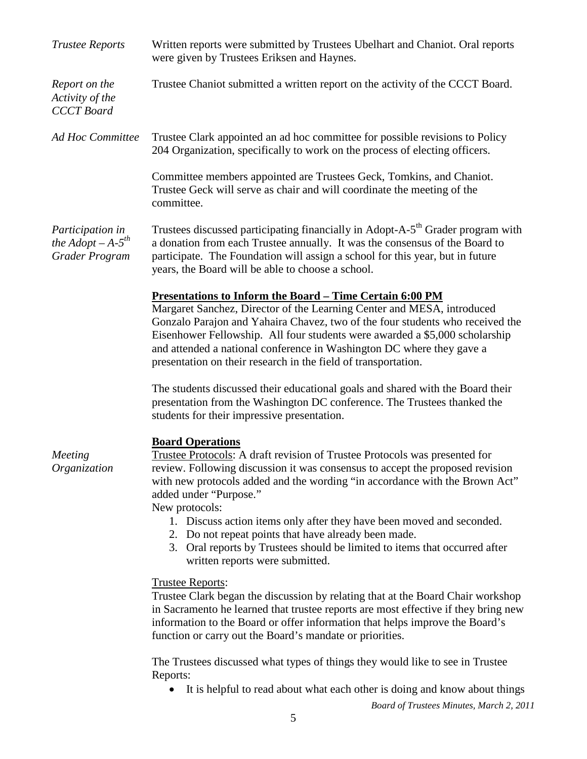| <b>Trustee Reports</b>                                      | Written reports were submitted by Trustees Ubelhart and Chaniot. Oral reports<br>were given by Trustees Eriksen and Haynes.                                                                                                                                                                                                                                                                                                                          |
|-------------------------------------------------------------|------------------------------------------------------------------------------------------------------------------------------------------------------------------------------------------------------------------------------------------------------------------------------------------------------------------------------------------------------------------------------------------------------------------------------------------------------|
| Report on the<br>Activity of the<br><b>CCCT</b> Board       | Trustee Chaniot submitted a written report on the activity of the CCCT Board.                                                                                                                                                                                                                                                                                                                                                                        |
| <b>Ad Hoc Committee</b>                                     | Trustee Clark appointed an ad hoc committee for possible revisions to Policy<br>204 Organization, specifically to work on the process of electing officers.                                                                                                                                                                                                                                                                                          |
|                                                             | Committee members appointed are Trustees Geck, Tomkins, and Chaniot.<br>Trustee Geck will serve as chair and will coordinate the meeting of the<br>committee.                                                                                                                                                                                                                                                                                        |
| Participation in<br>the Adopt $-A-5^{th}$<br>Grader Program | Trustees discussed participating financially in Adopt-A-5 <sup>th</sup> Grader program with<br>a donation from each Trustee annually. It was the consensus of the Board to<br>participate. The Foundation will assign a school for this year, but in future<br>years, the Board will be able to choose a school.                                                                                                                                     |
|                                                             | <b>Presentations to Inform the Board - Time Certain 6:00 PM</b><br>Margaret Sanchez, Director of the Learning Center and MESA, introduced<br>Gonzalo Parajon and Yahaira Chavez, two of the four students who received the<br>Eisenhower Fellowship. All four students were awarded a \$5,000 scholarship<br>and attended a national conference in Washington DC where they gave a<br>presentation on their research in the field of transportation. |
|                                                             | The students discussed their educational goals and shared with the Board their<br>presentation from the Washington DC conference. The Trustees thanked the<br>students for their impressive presentation.                                                                                                                                                                                                                                            |
| Meeting<br>Organization                                     | <b>Board Operations</b><br>Trustee Protocols: A draft revision of Trustee Protocols was presented for<br>review. Following discussion it was consensus to accept the proposed revision<br>with new protocols added and the wording "in accordance with the Brown Act"<br>added under "Purpose."<br>New protocols:                                                                                                                                    |
|                                                             | 1. Discuss action items only after they have been moved and seconded.<br>2. Do not repeat points that have already been made.<br>3. Oral reports by Trustees should be limited to items that occurred after<br>written reports were submitted.                                                                                                                                                                                                       |
|                                                             | <b>Trustee Reports:</b><br>Trustee Clark began the discussion by relating that at the Board Chair workshop<br>in Sacramento he learned that trustee reports are most effective if they bring new<br>information to the Board or offer information that helps improve the Board's<br>function or carry out the Board's mandate or priorities.                                                                                                         |
|                                                             | The Trustees discussed what types of things they would like to see in Trustee<br>Reports:                                                                                                                                                                                                                                                                                                                                                            |
|                                                             | It is helpful to read about what each other is doing and know about things                                                                                                                                                                                                                                                                                                                                                                           |